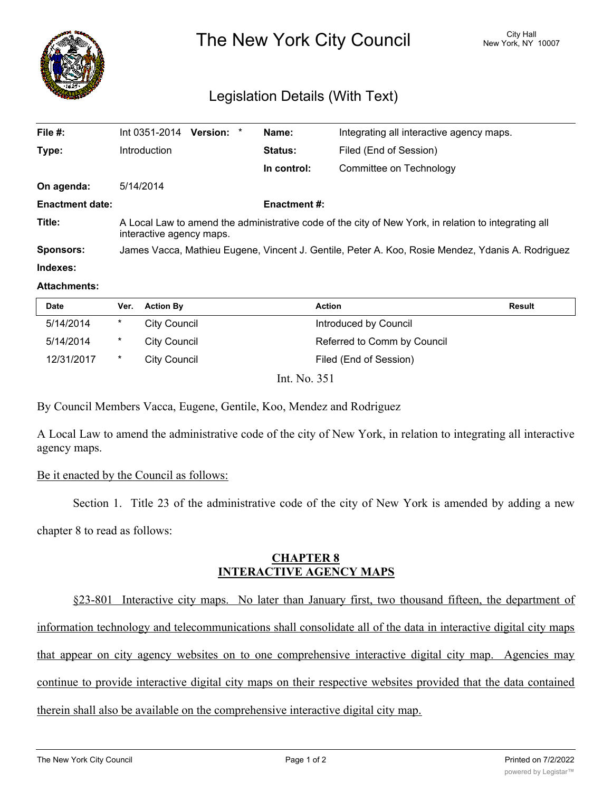

The New York City Council New York, NY 10007

# Legislation Details (With Text)

| File #:                | Int 0351-2014<br>Version: *                                                                                                      | Name:               | Integrating all interactive agency maps. |  |
|------------------------|----------------------------------------------------------------------------------------------------------------------------------|---------------------|------------------------------------------|--|
| Type:                  | <b>Introduction</b>                                                                                                              | <b>Status:</b>      | Filed (End of Session)                   |  |
|                        |                                                                                                                                  | In control:         | Committee on Technology                  |  |
| On agenda:             | 5/14/2014                                                                                                                        |                     |                                          |  |
| <b>Enactment date:</b> |                                                                                                                                  | <b>Enactment #:</b> |                                          |  |
| Title:                 | A Local Law to amend the administrative code of the city of New York, in relation to integrating all<br>interactive agency maps. |                     |                                          |  |
| <b>Sponsors:</b>       | James Vacca, Mathieu Eugene, Vincent J. Gentile, Peter A. Koo, Rosie Mendez, Ydanis A. Rodriguez                                 |                     |                                          |  |
| Indexes:               |                                                                                                                                  |                     |                                          |  |

#### **Attachments:**

| Date       | Ver.     | <b>Action By</b>    | Action                      | Result |
|------------|----------|---------------------|-----------------------------|--------|
| 5/14/2014  | *        | <b>City Council</b> | Introduced by Council       |        |
| 5/14/2014  | $^\star$ | City Council        | Referred to Comm by Council |        |
| 12/31/2017 | $^\star$ | City Council        | Filed (End of Session)      |        |
|            |          |                     |                             |        |

Int. No. 351

By Council Members Vacca, Eugene, Gentile, Koo, Mendez and Rodriguez

A Local Law to amend the administrative code of the city of New York, in relation to integrating all interactive agency maps.

### Be it enacted by the Council as follows:

Section 1. Title 23 of the administrative code of the city of New York is amended by adding a new chapter 8 to read as follows:

## **CHAPTER 8 INTERACTIVE AGENCY MAPS**

§23-801 Interactive city maps. No later than January first, two thousand fifteen, the department of information technology and telecommunications shall consolidate all of the data in interactive digital city maps that appear on city agency websites on to one comprehensive interactive digital city map. Agencies may continue to provide interactive digital city maps on their respective websites provided that the data contained therein shall also be available on the comprehensive interactive digital city map.